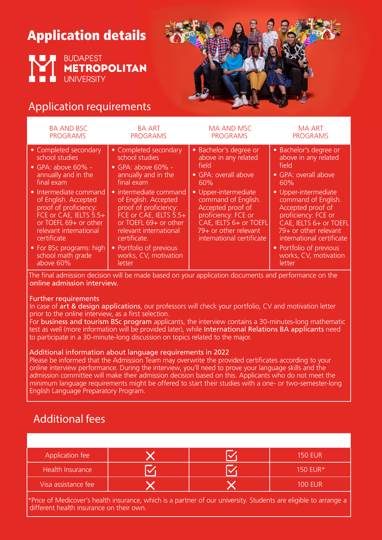# Application details





## Application requirements

| <b>BA AND BSC</b>                                                                                                                                                                                                                                                                                                                               | <b>BA ART</b>                                                                                                                                                                                                                                                                                                                                    | <b>MA AND MSC</b>                                                                                                                                                                                                                                                 | MA ART                                                                                                                                                                                                                                                                                                                          |
|-------------------------------------------------------------------------------------------------------------------------------------------------------------------------------------------------------------------------------------------------------------------------------------------------------------------------------------------------|--------------------------------------------------------------------------------------------------------------------------------------------------------------------------------------------------------------------------------------------------------------------------------------------------------------------------------------------------|-------------------------------------------------------------------------------------------------------------------------------------------------------------------------------------------------------------------------------------------------------------------|---------------------------------------------------------------------------------------------------------------------------------------------------------------------------------------------------------------------------------------------------------------------------------------------------------------------------------|
| <b>PROGRAMS</b>                                                                                                                                                                                                                                                                                                                                 | <b>PROGRAMS</b>                                                                                                                                                                                                                                                                                                                                  | <b>PROGRAMS</b>                                                                                                                                                                                                                                                   | <b>PROGRAMS</b>                                                                                                                                                                                                                                                                                                                 |
| • Completed secondary<br>school studies<br>$\bullet$ GPA: above 60% -<br>annually and in the<br>final exam<br>• Intermediate command<br>of English. Accepted<br>proof of proficiency:<br>FCE or CAE, IELTS 5.5+<br>or TOEFL 69+ or other<br>relevant international<br>certificate<br>• For BSc programs: high<br>school math grade<br>above 60% | • Completed secondary<br>school studies<br>$\bullet$ GPA: above 60% -<br>annually and in the<br>final exam<br>• intermediate command<br>of English. Accepted<br>proof of proficiency:<br>FCE or CAE, IELTS 5.5+<br>or TOEFL 69+ or other<br>relevant international<br>certificate.<br>• Portfolio of previous<br>works, CV, motivation<br>letter | • Bachelor's degree or<br>above in any related<br>field<br>· GPA: overall above<br>60%<br>• Upper-intermediate<br>command of English.<br>Accepted proof of<br>proficiency: FCE or<br>CAE, IELTS 6+ or TOEFL<br>79+ or other relevant<br>international certificate | • Bachelor's degree or<br>above in any related<br>field<br>• GPA: overall above<br>60%<br>• Upper-intermediate<br>command of English.<br>Accepted proof of<br>proficiency: FCE or<br>CAE, IELTS 6+ or TOEFL<br>79+ or other relevant<br>international certificate<br>• Portfolio of previous<br>works, CV, motivation<br>letter |

The final admission decision will be made based on your application documents and performance on the online admission interview.

### Further requirements

In case of art & design applications, our professors will check your portfolio, CV and motivation letter prior to the online interview, as a first selection.

For business and tourism BSc program applicants, the interview contains a 30-minutes-long mathematic test as well (more information will be provided later), while International Relations BA applicants need to participate in a 30-minute-long discussion on topics related to the major.

#### Additional information about language requirements in 2022

Please be informed that the Admission Team may overwrite the provided certificates according to your online interview performance. During the interview, you'll need to prove your language skills and the admission committee will make their admission decision based on this. Applicants who do not meet the minimum language requirements might be offered to start their studies with a one- or two-semester-long English Language Preparatory Program.

## Additional fees

| Application fee     |  |  | <b>150 EUR</b> |
|---------------------|--|--|----------------|
| Health Insurance    |  |  | 150 EUR*       |
| Visa assistance fee |  |  | <b>100 EUR</b> |
|                     |  |  |                |

\*Price of Medicover's health insurance, which is a partner of our university. Students are eligible to arrange a different health insurance on their own.